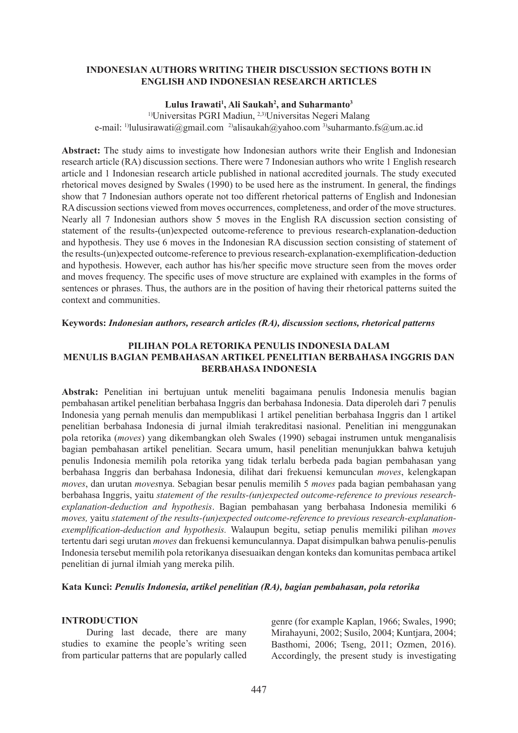## **INDONESIAN AUTHORS WRITING THEIR DISCUSSION SECTIONS BOTH IN ENGLISH AND INDONESIAN RESEARCH ARTICLES**

#### **Lulus Irawati1 , Ali Saukah2 , and Suharmanto3**

1)Universitas PGRI Madiun, 2,3)Universitas Negeri Malang e-mail: <sup>1)</sup>lulusirawati@gmail.com <sup>2)</sup>alisaukah@yahoo.com <sup>3)</sup>suharmanto.fs@um.ac.id

**Abstract:** The study aims to investigate how Indonesian authors write their English and Indonesian research article (RA) discussion sections. There were 7 Indonesian authors who write 1 English research article and 1 Indonesian research article published in national accredited journals. The study executed rhetorical moves designed by Swales (1990) to be used here as the instrument. In general, the findings show that 7 Indonesian authors operate not too different rhetorical patterns of English and Indonesian RA discussion sections viewed from moves occurrences, completeness, and order of the move structures. Nearly all 7 Indonesian authors show 5 moves in the English RA discussion section consisting of statement of the results-(un)expected outcome-reference to previous research-explanation-deduction and hypothesis. They use 6 moves in the Indonesian RA discussion section consisting of statement of the results-(un)expected outcome-reference to previous research-explanation-exemplification-deduction and hypothesis. However, each author has his/her specific move structure seen from the moves order and moves frequency. The specific uses of move structure are explained with examples in the forms of sentences or phrases. Thus, the authors are in the position of having their rhetorical patterns suited the context and communities.

#### **Keywords:** *Indonesian authors, research articles (RA), discussion sections, rhetorical patterns*

## **PILIHAN POLA RETORIKA PENULIS INDONESIA DALAM MENULIS BAGIAN PEMBAHASAN ARTIKEL PENELITIAN BERBAHASA INGGRIS DAN BERBAHASA INDONESIA**

**Abstrak:** Penelitian ini bertujuan untuk meneliti bagaimana penulis Indonesia menulis bagian pembahasan artikel penelitian berbahasa Inggris dan berbahasa Indonesia. Data diperoleh dari 7 penulis Indonesia yang pernah menulis dan mempublikasi 1 artikel penelitian berbahasa Inggris dan 1 artikel penelitian berbahasa Indonesia di jurnal ilmiah terakreditasi nasional. Penelitian ini menggunakan pola retorika (*moves*) yang dikembangkan oleh Swales (1990) sebagai instrumen untuk menganalisis bagian pembahasan artikel penelitian. Secara umum, hasil penelitian menunjukkan bahwa ketujuh penulis Indonesia memilih pola retorika yang tidak terlalu berbeda pada bagian pembahasan yang berbahasa Inggris dan berbahasa Indonesia, dilihat dari frekuensi kemunculan *moves*, kelengkapan *moves*, dan urutan *moves*nya. Sebagian besar penulis memilih 5 *moves* pada bagian pembahasan yang berbahasa Inggris, yaitu *statement of the results-(un)expected outcome-reference to previous researchexplanation-deduction and hypothesis*. Bagian pembahasan yang berbahasa Indonesia memiliki 6 *moves,* yaitu *statement of the results-(un)expected outcome-reference to previous research-explanationexemplification-deduction and hypothesis.* Walaupun begitu, setiap penulis memiliki pilihan *moves* tertentu dari segi urutan *moves* dan frekuensi kemunculannya. Dapat disimpulkan bahwa penulis-penulis Indonesia tersebut memilih pola retorikanya disesuaikan dengan konteks dan komunitas pembaca artikel penelitian di jurnal ilmiah yang mereka pilih.

**Kata Kunci:** *Penulis Indonesia, artikel penelitian (RA), bagian pembahasan, pola retorika*

### **INTRODUCTION**

During last decade, there are many studies to examine the people's writing seen from particular patterns that are popularly called genre (for example Kaplan, 1966; Swales, 1990; Mirahayuni, 2002; Susilo, 2004; Kuntjara, 2004; Basthomi, 2006; Tseng, 2011; Ozmen, 2016). Accordingly, the present study is investigating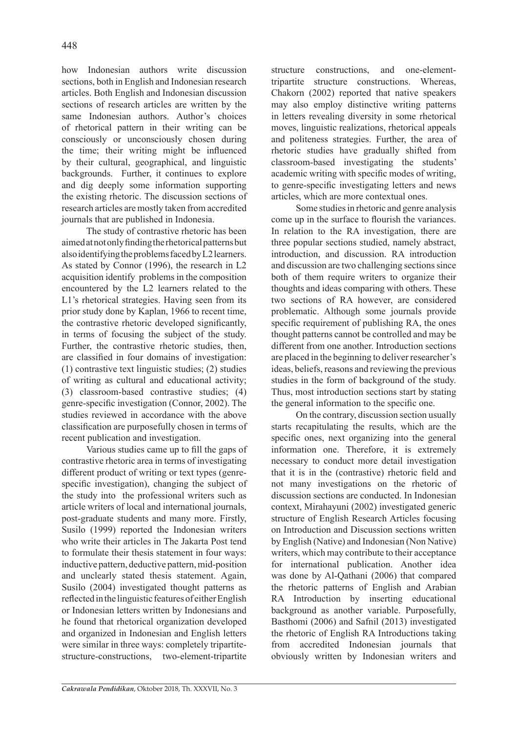how Indonesian authors write discussion sections, both in English and Indonesian research articles. Both English and Indonesian discussion sections of research articles are written by the same Indonesian authors. Author's choices of rhetorical pattern in their writing can be consciously or unconsciously chosen during the time; their writing might be influenced by their cultural, geographical, and linguistic backgrounds. Further, it continues to explore and dig deeply some information supporting the existing rhetoric. The discussion sections of research articles are mostly taken from accredited journals that are published in Indonesia.

The study of contrastive rhetoric has been aimed at not only finding the rhetorical patterns but also identifying the problems faced by L2 learners. As stated by Connor (1996), the research in L2 acquisition identify problems in the composition encountered by the L2 learners related to the L1's rhetorical strategies. Having seen from its prior study done by Kaplan, 1966 to recent time, the contrastive rhetoric developed significantly, in terms of focusing the subject of the study. Further, the contrastive rhetoric studies, then, are classified in four domains of investigation: (1) contrastive text linguistic studies; (2) studies of writing as cultural and educational activity; (3) classroom-based contrastive studies; (4) genre-specific investigation (Connor, 2002). The studies reviewed in accordance with the above classification are purposefully chosen in terms of recent publication and investigation.

Various studies came up to fill the gaps of contrastive rhetoric area in terms of investigating different product of writing or text types (genrespecific investigation), changing the subject of the study into the professional writers such as article writers of local and international journals, post-graduate students and many more. Firstly, Susilo (1999) reported the Indonesian writers who write their articles in The Jakarta Post tend to formulate their thesis statement in four ways: inductive pattern, deductive pattern, mid-position and unclearly stated thesis statement. Again, Susilo (2004) investigated thought patterns as reflected in the linguistic features of either English or Indonesian letters written by Indonesians and he found that rhetorical organization developed and organized in Indonesian and English letters were similar in three ways: completely tripartitestructure-constructions, two-element-tripartite structure constructions, and one-elementtripartite structure constructions. Whereas, Chakorn (2002) reported that native speakers may also employ distinctive writing patterns in letters revealing diversity in some rhetorical moves, linguistic realizations, rhetorical appeals and politeness strategies. Further, the area of rhetoric studies have gradually shifted from classroom-based investigating the students' academic writing with specific modes of writing, to genre-specific investigating letters and news articles, which are more contextual ones.

Some studies in rhetoric and genre analysis come up in the surface to flourish the variances. In relation to the RA investigation, there are three popular sections studied, namely abstract, introduction, and discussion. RA introduction and discussion are two challenging sections since both of them require writers to organize their thoughts and ideas comparing with others. These two sections of RA however, are considered problematic. Although some journals provide specific requirement of publishing RA, the ones thought patterns cannot be controlled and may be different from one another. Introduction sections are placed in the beginning to deliver researcher's ideas, beliefs, reasons and reviewing the previous studies in the form of background of the study. Thus, most introduction sections start by stating the general information to the specific one.

On the contrary, discussion section usually starts recapitulating the results, which are the specific ones, next organizing into the general information one. Therefore, it is extremely necessary to conduct more detail investigation that it is in the (contrastive) rhetoric field and not many investigations on the rhetoric of discussion sections are conducted. In Indonesian context, Mirahayuni (2002) investigated generic structure of English Research Articles focusing on Introduction and Discussion sections written by English (Native) and Indonesian (Non Native) writers, which may contribute to their acceptance for international publication. Another idea was done by Al-Qathani (2006) that compared the rhetoric patterns of English and Arabian RA Introduction by inserting educational background as another variable. Purposefully, Basthomi (2006) and Safnil (2013) investigated the rhetoric of English RA Introductions taking from accredited Indonesian journals that obviously written by Indonesian writers and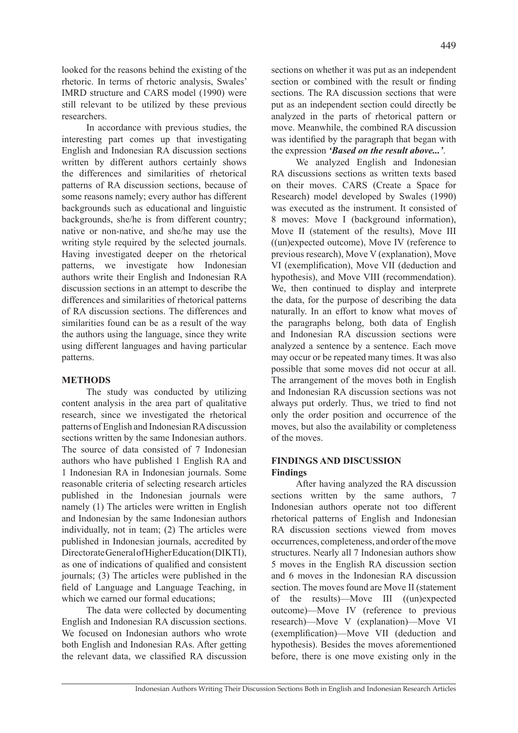looked for the reasons behind the existing of the rhetoric. In terms of rhetoric analysis, Swales' IMRD structure and CARS model (1990) were still relevant to be utilized by these previous researchers.

In accordance with previous studies, the interesting part comes up that investigating English and Indonesian RA discussion sections written by different authors certainly shows the differences and similarities of rhetorical patterns of RA discussion sections, because of some reasons namely; every author has different backgrounds such as educational and linguistic backgrounds, she/he is from different country; native or non-native, and she/he may use the writing style required by the selected journals. Having investigated deeper on the rhetorical patterns, we investigate how Indonesian authors write their English and Indonesian RA discussion sections in an attempt to describe the differences and similarities of rhetorical patterns of RA discussion sections. The differences and similarities found can be as a result of the way the authors using the language, since they write using different languages and having particular patterns.

### **METHODS**

The study was conducted by utilizing content analysis in the area part of qualitative research, since we investigated the rhetorical patterns of English and Indonesian RA discussion sections written by the same Indonesian authors. The source of data consisted of 7 Indonesian authors who have published 1 English RA and 1 Indonesian RA in Indonesian journals. Some reasonable criteria of selecting research articles published in the Indonesian journals were namely (1) The articles were written in English and Indonesian by the same Indonesian authors individually, not in team; (2) The articles were published in Indonesian journals, accredited by Directorate General of Higher Education (DIKTI), as one of indications of qualified and consistent journals; (3) The articles were published in the field of Language and Language Teaching, in which we earned our formal educations;

The data were collected by documenting English and Indonesian RA discussion sections. We focused on Indonesian authors who wrote both English and Indonesian RAs. After getting the relevant data, we classified RA discussion sections on whether it was put as an independent section or combined with the result or finding sections. The RA discussion sections that were put as an independent section could directly be analyzed in the parts of rhetorical pattern or move. Meanwhile, the combined RA discussion was identified by the paragraph that began with the expression *'Based on the result above...'*.

We analyzed English and Indonesian RA discussions sections as written texts based on their moves. CARS (Create a Space for Research) model developed by Swales (1990) was executed as the instrument. It consisted of 8 moves: Move I (background information), Move II (statement of the results), Move III ((un)expected outcome), Move IV (reference to previous research), Move V (explanation), Move VI (exemplification), Move VII (deduction and hypothesis), and Move VIII (recommendation). We, then continued to display and interprete the data, for the purpose of describing the data naturally. In an effort to know what moves of the paragraphs belong, both data of English and Indonesian RA discussion sections were analyzed a sentence by a sentence. Each move may occur or be repeated many times. It was also possible that some moves did not occur at all. The arrangement of the moves both in English and Indonesian RA discussion sections was not always put orderly. Thus, we tried to find not only the order position and occurrence of the moves, but also the availability or completeness of the moves.

#### **FINDINGS AND DISCUSSION Findings**

After having analyzed the RA discussion sections written by the same authors, 7 Indonesian authors operate not too different rhetorical patterns of English and Indonesian RA discussion sections viewed from moves occurrences, completeness, and order of the move structures. Nearly all 7 Indonesian authors show 5 moves in the English RA discussion section and 6 moves in the Indonesian RA discussion section. The moves found are Move II (statement of the results)—Move III ((un)expected outcome)—Move IV (reference to previous research)—Move V (explanation)—Move VI (exemplification)—Move VII (deduction and hypothesis). Besides the moves aforementioned before, there is one move existing only in the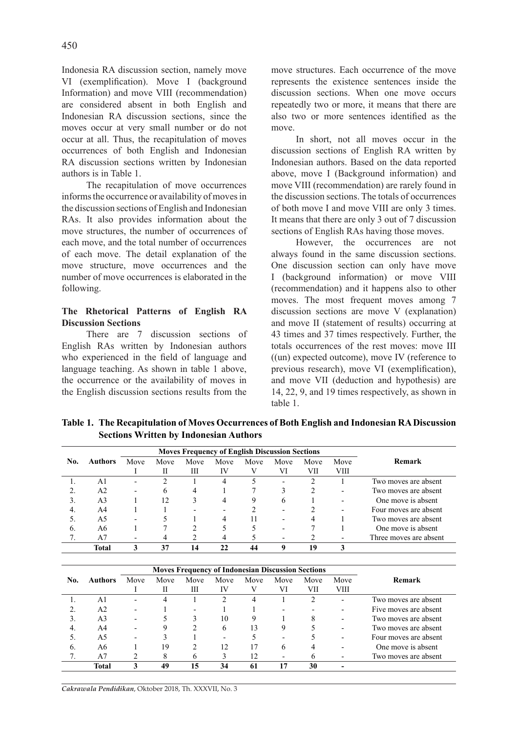Indonesia RA discussion section, namely move VI (exemplification). Move I (background Information) and move VIII (recommendation) are considered absent in both English and Indonesian RA discussion sections, since the moves occur at very small number or do not occur at all. Thus, the recapitulation of moves occurrences of both English and Indonesian RA discussion sections written by Indonesian authors is in Table 1.

The recapitulation of move occurrences informs the occurrence or availability of moves in the discussion sections of English and Indonesian RAs. It also provides information about the move structures, the number of occurrences of each move, and the total number of occurrences of each move. The detail explanation of the move structure, move occurrences and the number of move occurrences is elaborated in the following.

## **The Rhetorical Patterns of English RA Discussion Sections**

There are 7 discussion sections of English RAs written by Indonesian authors who experienced in the field of language and language teaching. As shown in table 1 above, the occurrence or the availability of moves in the English discussion sections results from the

move structures. Each occurrence of the move represents the existence sentences inside the discussion sections. When one move occurs repeatedly two or more, it means that there are also two or more sentences identified as the move.

In short, not all moves occur in the discussion sections of English RA written by Indonesian authors. Based on the data reported above, move I (Background information) and move VIII (recommendation) are rarely found in the discussion sections. The totals of occurrences of both move I and move VIII are only 3 times. It means that there are only 3 out of 7 discussion sections of English RAs having those moves.

However, the occurrences are not always found in the same discussion sections. One discussion section can only have move I (background information) or move VIII (recommendation) and it happens also to other moves. The most frequent moves among 7 discussion sections are move V (explanation) and move II (statement of results) occurring at 43 times and 37 times respectively. Further, the totals occurrences of the rest moves: move III ((un) expected outcome), move IV (reference to previous research), move VI (exemplification), and move VII (deduction and hypothesis) are 14, 22, 9, and 19 times respectively, as shown in table 1.

**Table 1. The Recapitulation of Moves Occurrences of Both English and Indonesian RA Discussion Sections Written by Indonesian Authors**

|     | <b>Moves Frequency of English Discussion Sections</b> |                          |      |      |      |      |                          |      |                          |                        |
|-----|-------------------------------------------------------|--------------------------|------|------|------|------|--------------------------|------|--------------------------|------------------------|
| No. | <b>Authors</b>                                        | Move                     | Move | Move | Move | Move | Move                     | Move | Move                     | Remark                 |
|     |                                                       |                          | П    | Ш    | IV   |      | VI                       | VП   | VIII                     |                        |
|     | A <sub>1</sub>                                        | $\overline{\phantom{0}}$ |      |      | 4    |      | $\overline{\phantom{0}}$ |      |                          | Two moves are absent   |
|     | A2                                                    | $\overline{\phantom{0}}$ | 6    | 4    |      |      |                          |      | $\overline{\phantom{0}}$ | Two moves are absent   |
| 3.  | A3                                                    |                          | 12   |      | 4    | 9    | 6                        |      | $\overline{\phantom{a}}$ | One move is absent     |
| 4.  | A4                                                    |                          |      |      |      |      |                          |      | $\blacksquare$           | Four moves are absent  |
|     | A5                                                    |                          |      |      | 4    |      |                          |      |                          | Two moves are absent   |
| b.  | A6                                                    |                          |      |      |      |      |                          |      |                          | One move is absent     |
|     | A7                                                    |                          |      |      |      |      |                          |      |                          | Three moves are absent |
|     | Total                                                 |                          | 37   | 14   | 22   | 44   | 9                        | 19   |                          |                        |

|     |                |      | <b>Moves Frequency of Indonesian Discussion Sections</b> |      |      |      |      |      |                          |                       |
|-----|----------------|------|----------------------------------------------------------|------|------|------|------|------|--------------------------|-----------------------|
| No. | Authors        | Move | Move                                                     | Move | Move | Move | Move | Move | Move                     | Remark                |
|     |                |      |                                                          | Ш    | IV   | V    | VI   | VІІ  | VIII                     |                       |
|     | ΑI             |      |                                                          |      |      | 4    |      |      |                          | Two moves are absent  |
|     | A <sub>2</sub> | ۰    |                                                          | -    |      |      |      |      | $\overline{\phantom{0}}$ | Five moves are absent |
|     | A3             |      |                                                          |      | 10   | Q    |      |      | $\overline{\phantom{a}}$ | Two moves are absent  |
| -4. | A4             |      |                                                          |      | 6    | 13   | Q    |      | $\overline{\phantom{0}}$ | Two moves are absent  |
|     | A5             |      |                                                          |      |      |      |      |      |                          | Four moves are absent |
| 6.  | A6             |      | 19                                                       |      | 12   | 17   | 6    |      |                          | One move is absent    |
|     | A7             |      |                                                          |      |      | 12   |      |      |                          | Two moves are absent  |
|     | Total          |      | 49                                                       | 15   | 34   | 61   |      | 30   |                          |                       |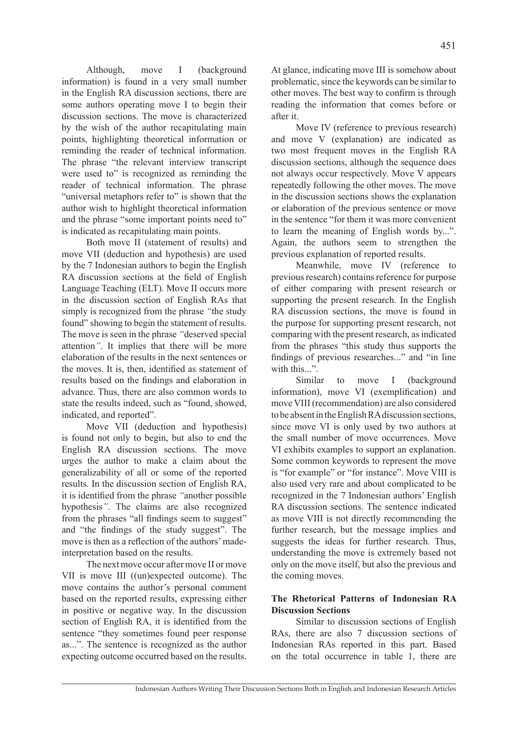Although, move I (background information) is found in a very small number in the English RA discussion sections, there are some authors operating move I to begin their discussion sections. The move is characterized by the wish of the author recapitulating main points, highlighting theoretical information or reminding the reader of technical information. The phrase "the relevant interview transcript were used to" is recognized as reminding the reader of technical information. The phrase "universal metaphors refer to" is shown that the author wish to highlight theoretical information and the phrase "some important points need to" is indicated as recapitulating main points.

Both move II (statement of results) and move VII (deduction and hypothesis) are used by the 7 Indonesian authors to begin the English RA discussion sections at the field of English Language Teaching (ELT). Move II occurs more in the discussion section of English RAs that simply is recognized from the phrase *"*the study found" showing to begin the statement of results. The move is seen in the phrase *"*deserved special attention*"*. It implies that there will be more elaboration of the results in the next sentences or the moves. It is, then, identified as statement of results based on the findings and elaboration in advance. Thus, there are also common words to state the results indeed, such as "found, showed, indicated, and reported".

Move VII (deduction and hypothesis) is found not only to begin, but also to end the English RA discussion sections. The move urges the author to make a claim about the generalizability of all or some of the reported results. In the discussion section of English RA, it is identified from the phrase *"*another possible hypothesis*"*. The claims are also recognized from the phrases "all findings seem to suggest" and "the findings of the study suggest". The move is then as a reflection of the authors' madeinterpretation based on the results.

The next move occur after move II or move VII is move III ((un)expected outcome). The move contains the author's personal comment based on the reported results, expressing either in positive or negative way. In the discussion section of English RA, it is identified from the sentence "they sometimes found peer response as...". The sentence is recognized as the author expecting outcome occurred based on the results. At glance, indicating move III is somehow about problematic, since the keywords can be similar to other moves. The best way to confirm is through reading the information that comes before or after it.

Move IV (reference to previous research) and move V (explanation) are indicated as two most frequent moves in the English RA discussion sections, although the sequence does not always occur respectively. Move V appears repeatedly following the other moves. The move in the discussion sections shows the explanation or elaboration of the previous sentence or move in the sentence "for them it was more convenient to learn the meaning of English words by...". Again, the authors seem to strengthen the previous explanation of reported results.

Meanwhile, move IV (reference to previous research) contains reference for purpose of either comparing with present research or supporting the present research. In the English RA discussion sections, the move is found in the purpose for supporting present research, not comparing with the present research, as indicated from the phrases "this study thus supports the findings of previous researches..." and "in line with this...".

Similar to move I (background information), move VI (exemplification) and move VIII (recommendation) are also considered to be absent in the English RA discussion sections, since move VI is only used by two authors at the small number of move occurrences. Move VI exhibits examples to support an explanation. Some common keywords to represent the move is "for example" or "for instance". Move VIII is also used very rare and about complicated to be recognized in the 7 Indonesian authors' English RA discussion sections. The sentence indicated as move VIII is not directly recommending the further research, but the message implies and suggests the ideas for further research. Thus, understanding the move is extremely based not only on the move itself, but also the previous and the coming moves.

# **The Rhetorical Patterns of Indonesian RA Discussion Sections**

Similar to discussion sections of English RAs, there are also 7 discussion sections of Indonesian RAs reported in this part. Based on the total occurrence in table 1, there are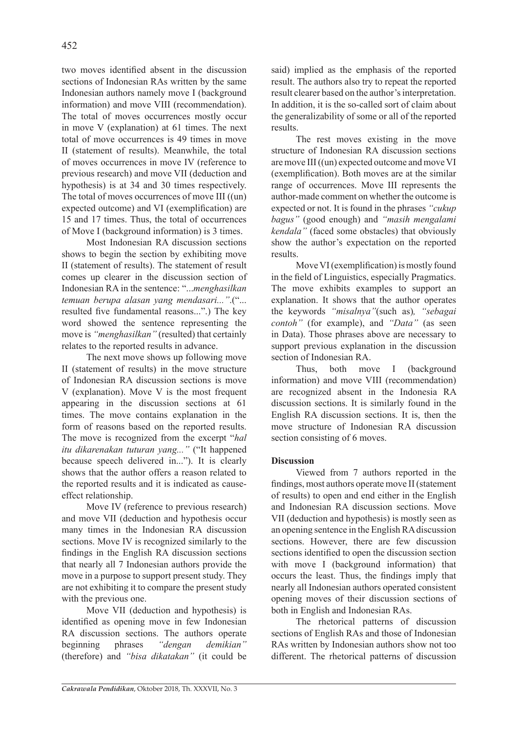two moves identified absent in the discussion sections of Indonesian RAs written by the same Indonesian authors namely move I (background information) and move VIII (recommendation). The total of moves occurrences mostly occur in move V (explanation) at 61 times. The next total of move occurrences is 49 times in move II (statement of results). Meanwhile, the total of moves occurrences in move IV (reference to previous research) and move VII (deduction and hypothesis) is at 34 and 30 times respectively. The total of moves occurrences of move III ((un) expected outcome) and VI (exemplification) are 15 and 17 times. Thus, the total of occurrences of Move I (background information) is 3 times.

Most Indonesian RA discussion sections shows to begin the section by exhibiting move II (statement of results). The statement of result comes up clearer in the discussion section of Indonesian RA in the sentence: "...*menghasilkan temuan berupa alasan yang mendasari..."*.("... resulted five fundamental reasons...".) The key word showed the sentence representing the move is *"menghasilkan"* (resulted) that certainly relates to the reported results in advance.

The next move shows up following move II (statement of results) in the move structure of Indonesian RA discussion sections is move V (explanation). Move V is the most frequent appearing in the discussion sections at 61 times. The move contains explanation in the form of reasons based on the reported results. The move is recognized from the excerpt "*hal itu dikarenakan tuturan yang..."* ("It happened because speech delivered in..."). It is clearly shows that the author offers a reason related to the reported results and it is indicated as causeeffect relationship.

Move IV (reference to previous research) and move VII (deduction and hypothesis occur many times in the Indonesian RA discussion sections. Move IV is recognized similarly to the findings in the English RA discussion sections that nearly all 7 Indonesian authors provide the move in a purpose to support present study. They are not exhibiting it to compare the present study with the previous one.

Move VII (deduction and hypothesis) is identified as opening move in few Indonesian RA discussion sections. The authors operate beginning phrases *"dengan demikian"* (therefore) and *"bisa dikatakan"* (it could be said) implied as the emphasis of the reported result. The authors also try to repeat the reported result clearer based on the author's interpretation. In addition, it is the so-called sort of claim about the generalizability of some or all of the reported results.

The rest moves existing in the move structure of Indonesian RA discussion sections are move III ((un) expected outcome and move VI (exemplification). Both moves are at the similar range of occurrences. Move III represents the author-made comment on whether the outcome is expected or not. It is found in the phrases *"cukup bagus"* (good enough) and *"masih mengalami kendala"* (faced some obstacles) that obviously show the author's expectation on the reported results.

Move VI (exemplification) is mostly found in the field of Linguistics, especially Pragmatics. The move exhibits examples to support an explanation. It shows that the author operates the keywords *"misalnya"*(such as)*, "sebagai contoh"* (for example), and *"Data"* (as seen in Data). Those phrases above are necessary to support previous explanation in the discussion section of Indonesian RA.

Thus, both move I (background information) and move VIII (recommendation) are recognized absent in the Indonesia RA discussion sections. It is similarly found in the English RA discussion sections. It is, then the move structure of Indonesian RA discussion section consisting of 6 moves.

# **Discussion**

Viewed from 7 authors reported in the findings, most authors operate move II (statement of results) to open and end either in the English and Indonesian RA discussion sections. Move VII (deduction and hypothesis) is mostly seen as an opening sentence in the English RA discussion sections. However, there are few discussion sections identified to open the discussion section with move I (background information) that occurs the least. Thus, the findings imply that nearly all Indonesian authors operated consistent opening moves of their discussion sections of both in English and Indonesian RAs.

The rhetorical patterns of discussion sections of English RAs and those of Indonesian RAs written by Indonesian authors show not too different. The rhetorical patterns of discussion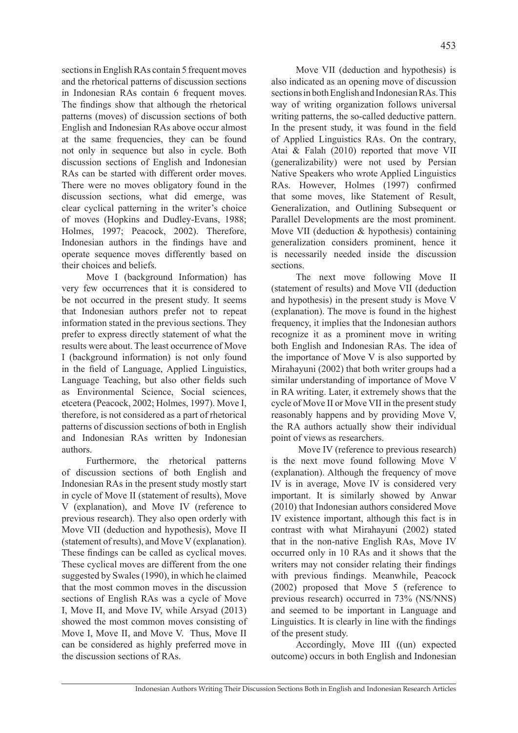sections in English RAs contain 5 frequent moves and the rhetorical patterns of discussion sections in Indonesian RAs contain 6 frequent moves. The findings show that although the rhetorical patterns (moves) of discussion sections of both English and Indonesian RAs above occur almost at the same frequencies, they can be found not only in sequence but also in cycle. Both discussion sections of English and Indonesian RAs can be started with different order moves. There were no moves obligatory found in the discussion sections, what did emerge, was clear cyclical patterning in the writer's choice of moves (Hopkins and Dudley-Evans, 1988; Holmes, 1997; Peacock, 2002). Therefore, Indonesian authors in the findings have and operate sequence moves differently based on their choices and beliefs.

Move I (background Information) has very few occurrences that it is considered to be not occurred in the present study. It seems that Indonesian authors prefer not to repeat information stated in the previous sections. They prefer to express directly statement of what the results were about. The least occurrence of Move I (background information) is not only found in the field of Language, Applied Linguistics, Language Teaching, but also other fields such as Environmental Science, Social sciences, etcetera (Peacock, 2002; Holmes, 1997). Move I, therefore, is not considered as a part of rhetorical patterns of discussion sections of both in English and Indonesian RAs written by Indonesian authors.

Furthermore, the rhetorical patterns of discussion sections of both English and Indonesian RAs in the present study mostly start in cycle of Move II (statement of results), Move V (explanation), and Move IV (reference to previous research). They also open orderly with Move VII (deduction and hypothesis), Move II (statement of results), and Move V (explanation). These findings can be called as cyclical moves. These cyclical moves are different from the one suggested by Swales (1990), in which he claimed that the most common moves in the discussion sections of English RAs was a cycle of Move I, Move II, and Move IV, while Arsyad (2013) showed the most common moves consisting of Move I, Move II, and Move V. Thus, Move II can be considered as highly preferred move in the discussion sections of RAs.

Move VII (deduction and hypothesis) is also indicated as an opening move of discussion sections in both English and Indonesian RAs. This way of writing organization follows universal writing patterns, the so-called deductive pattern. In the present study, it was found in the field of Applied Linguistics RAs. On the contrary, Atai & Falah (2010) reported that move VII (generalizability) were not used by Persian Native Speakers who wrote Applied Linguistics RAs. However, Holmes (1997) confirmed that some moves, like Statement of Result, Generalization, and Outlining Subsequent or Parallel Developments are the most prominent. Move VII (deduction & hypothesis) containing generalization considers prominent, hence it is necessarily needed inside the discussion sections.

The next move following Move II (statement of results) and Move VII (deduction and hypothesis) in the present study is Move V (explanation). The move is found in the highest frequency, it implies that the Indonesian authors recognize it as a prominent move in writing both English and Indonesian RAs. The idea of the importance of Move V is also supported by Mirahayuni (2002) that both writer groups had a similar understanding of importance of Move V in RA writing. Later, it extremely shows that the cycle of Move II or Move VII in the present study reasonably happens and by providing Move V, the RA authors actually show their individual point of views as researchers.

 Move IV (reference to previous research) is the next move found following Move V (explanation). Although the frequency of move IV is in average, Move IV is considered very important. It is similarly showed by Anwar (2010) that Indonesian authors considered Move IV existence important, although this fact is in contrast with what Mirahayuni (2002) stated that in the non-native English RAs, Move IV occurred only in 10 RAs and it shows that the writers may not consider relating their findings with previous findings. Meanwhile, Peacock (2002) proposed that Move 5 (reference to previous research) occurred in 73% (NS/NNS) and seemed to be important in Language and Linguistics. It is clearly in line with the findings of the present study.

Accordingly, Move III ((un) expected outcome) occurs in both English and Indonesian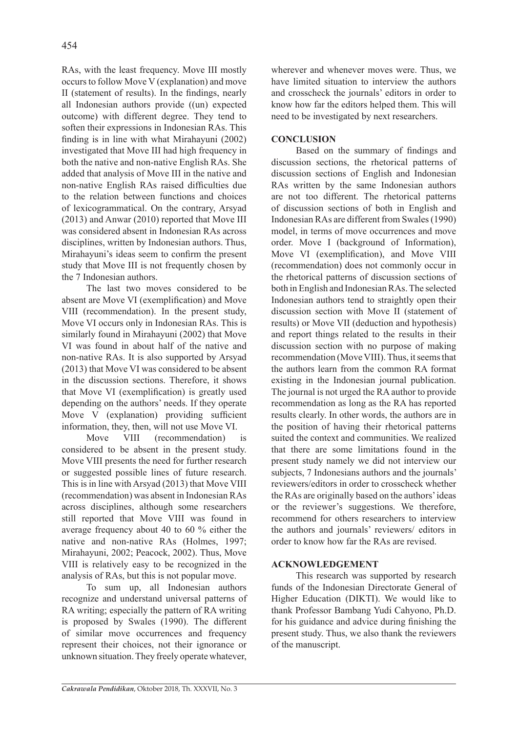RAs, with the least frequency. Move III mostly occurs to follow Move V (explanation) and move II (statement of results). In the findings, nearly all Indonesian authors provide ((un) expected outcome) with different degree. They tend to soften their expressions in Indonesian RAs. This finding is in line with what Mirahayuni (2002) investigated that Move III had high frequency in both the native and non-native English RAs. She added that analysis of Move III in the native and non-native English RAs raised difficulties due to the relation between functions and choices of lexicogrammatical. On the contrary, Arsyad (2013) and Anwar (2010) reported that Move III was considered absent in Indonesian RAs across disciplines, written by Indonesian authors. Thus, Mirahayuni's ideas seem to confirm the present study that Move III is not frequently chosen by the 7 Indonesian authors.

The last two moves considered to be absent are Move VI (exemplification) and Move VIII (recommendation). In the present study, Move VI occurs only in Indonesian RAs. This is similarly found in Mirahayuni (2002) that Move VI was found in about half of the native and non-native RAs. It is also supported by Arsyad (2013) that Move VI was considered to be absent in the discussion sections. Therefore, it shows that Move VI (exemplification) is greatly used depending on the authors' needs. If they operate Move V (explanation) providing sufficient information, they, then, will not use Move VI.

Move VIII (recommendation) is considered to be absent in the present study. Move VIII presents the need for further research or suggested possible lines of future research. This is in line with Arsyad (2013) that Move VIII (recommendation) was absent in Indonesian RAs across disciplines, although some researchers still reported that Move VIII was found in average frequency about 40 to 60 % either the native and non-native RAs (Holmes, 1997; Mirahayuni, 2002; Peacock, 2002). Thus, Move VIII is relatively easy to be recognized in the analysis of RAs, but this is not popular move.

To sum up, all Indonesian authors recognize and understand universal patterns of RA writing; especially the pattern of RA writing is proposed by Swales (1990). The different of similar move occurrences and frequency represent their choices, not their ignorance or unknown situation. They freely operate whatever, wherever and whenever moves were. Thus, we have limited situation to interview the authors and crosscheck the journals' editors in order to know how far the editors helped them. This will need to be investigated by next researchers.

# **CONCLUSION**

Based on the summary of findings and discussion sections, the rhetorical patterns of discussion sections of English and Indonesian RAs written by the same Indonesian authors are not too different. The rhetorical patterns of discussion sections of both in English and Indonesian RAs are different from Swales (1990) model, in terms of move occurrences and move order. Move I (background of Information), Move VI (exemplification), and Move VIII (recommendation) does not commonly occur in the rhetorical patterns of discussion sections of both in English and Indonesian RAs. The selected Indonesian authors tend to straightly open their discussion section with Move II (statement of results) or Move VII (deduction and hypothesis) and report things related to the results in their discussion section with no purpose of making recommendation (Move VIII). Thus, it seems that the authors learn from the common RA format existing in the Indonesian journal publication. The journal is not urged the RA author to provide recommendation as long as the RA has reported results clearly. In other words, the authors are in the position of having their rhetorical patterns suited the context and communities. We realized that there are some limitations found in the present study namely we did not interview our subjects, 7 Indonesians authors and the journals' reviewers/editors in order to crosscheck whether the RAs are originally based on the authors' ideas or the reviewer's suggestions. We therefore, recommend for others researchers to interview the authors and journals' reviewers/ editors in order to know how far the RAs are revised.

# **ACKNOWLEDGEMENT**

This research was supported by research funds of the Indonesian Directorate General of Higher Education (DIKTI). We would like to thank Professor Bambang Yudi Cahyono, Ph.D. for his guidance and advice during finishing the present study. Thus, we also thank the reviewers of the manuscript.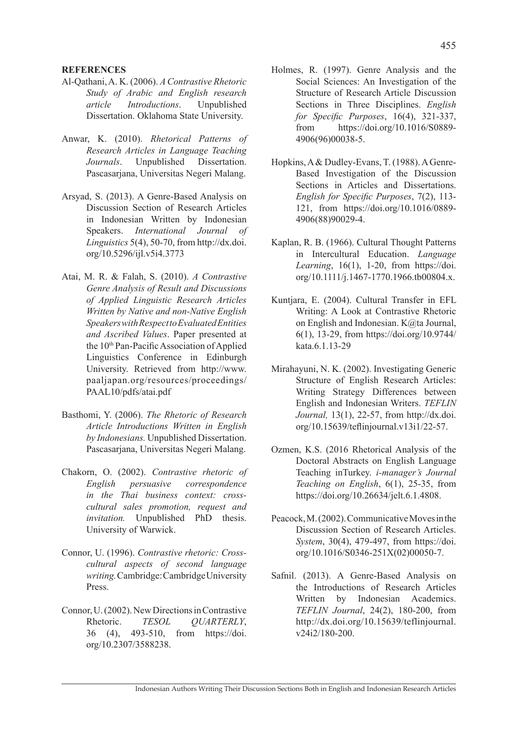### **REFERENCES**

- Al-Qathani, A. K. (2006). *A Contrastive Rhetoric Study of Arabic and English research article Introductions*. Unpublished Dissertation. Oklahoma State University.
- Anwar, K. (2010). *Rhetorical Patterns of Research Articles in Language Teaching Journals*. Unpublished Dissertation. Pascasarjana, Universitas Negeri Malang.
- Arsyad, S. (2013). A Genre-Based Analysis on Discussion Section of Research Articles in Indonesian Written by Indonesian Speakers. *International Journal of Linguistics* 5(4), 50-70, from http://dx.doi. org/10.5296/ijl.v5i4.3773
- Atai, M. R. & Falah, S. (2010). *A Contrastive Genre Analysis of Result and Discussions of Applied Linguistic Research Articles Written by Native and non-Native English Speakers with Respect to Evaluated Entities and Ascribed Values*. Paper presented at the 10<sup>th</sup> Pan-Pacific Association of Applied Linguistics Conference in Edinburgh University. Retrieved from http://www. paaljapan.org/resources/proceedings/ PAAL10/pdfs/atai.pdf
- Basthomi, Y. (2006). *The Rhetoric of Research Article Introductions Written in English by Indonesians.* Unpublished Dissertation. Pascasarjana, Universitas Negeri Malang.
- Chakorn, O. (2002). *Contrastive rhetoric of English persuasive correspondence in the Thai business context: crosscultural sales promotion, request and invitation.* Unpublished PhD thesis. University of Warwick.
- Connor, U. (1996). *Contrastive rhetoric: Crosscultural aspects of second language writing.* Cambridge: Cambridge University Press.
- Connor, U. (2002). New Directions in Contrastive Rhetoric. *TESOL QUARTERLY*, 36 (4), 493-510, from https://doi. org/10.2307/3588238.
- Holmes, R. (1997). Genre Analysis and the Social Sciences: An Investigation of the Structure of Research Article Discussion Sections in Three Disciplines. *English for Specific Purposes*, 16(4), 321-337, from https://doi.org/10.1016/S0889- 4906(96)00038-5.
- Hopkins, A & Dudley-Evans, T. (1988). A Genre-Based Investigation of the Discussion Sections in Articles and Dissertations. *English for Specific Purposes*, 7(2), 113- 121, from https://doi.org/10.1016/0889- 4906(88)90029-4.
- Kaplan, R. B. (1966). Cultural Thought Patterns in Intercultural Education. *Language Learning*, 16(1), 1-20, from https://doi. org/10.1111/j.1467-1770.1966.tb00804.x.
- Kuntjara, E. (2004). Cultural Transfer in EFL Writing: A Look at Contrastive Rhetoric on English and Indonesian. K@ta Journal, 6(1), 13-29, from https://doi.org/10.9744/ kata.6.1.13-29
- Mirahayuni, N. K. (2002). Investigating Generic Structure of English Research Articles: Writing Strategy Differences between English and Indonesian Writers. *TEFLIN Journal,* 13(1), 22-57, from http://dx.doi. org/10.15639/teflinjournal.v13i1/22-57.
- Ozmen, K.S. (2016 Rhetorical Analysis of the Doctoral Abstracts on English Language Teaching inTurkey. *i-manager's Journal Teaching on English*, 6(1), 25-35, from https://doi.org/10.26634/jelt.6.1.4808.
- Peacock, M. (2002). Communicative Moves in the Discussion Section of Research Articles. *System*, 30(4), 479-497, from https://doi. org/10.1016/S0346-251X(02)00050-7.
- Safnil. (2013). A Genre-Based Analysis on the Introductions of Research Articles Written by Indonesian Academics. *TEFLIN Journal*, 24(2), 180-200, from http://dx.doi.org/10.15639/teflinjournal. v24i2/180-200.